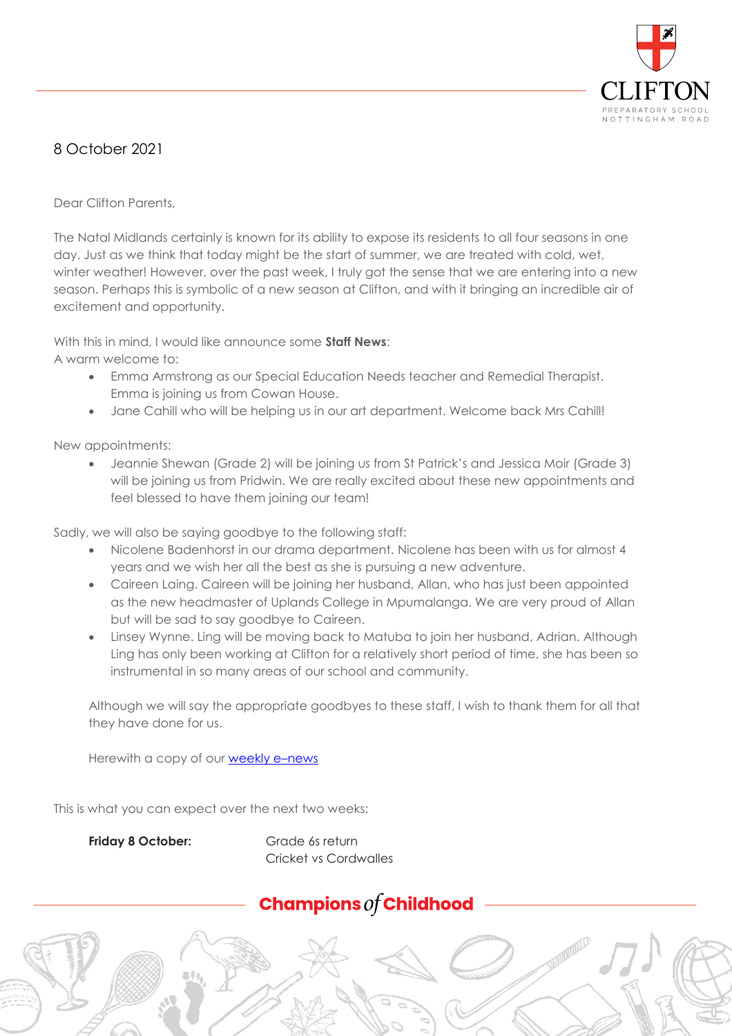

## 8 October 2021

Dear Clifton Parents,

The Natal Midlands certainly is known for its ability to expose its residents to all four seasons in one day. Just as we think that today might be the start of summer, we are treated with cold, wet, winter weather! However, over the past week, I truly got the sense that we are entering into a new season. Perhaps this is symbolic of a new season at Clifton, and with it bringing an incredible air of excitement and opportunity.

With this in mind, I would like announce some **Staff News**:

A warm welcome to:

- Emma Armstrong as our Special Education Needs teacher and Remedial Therapist. Emma is joining us from Cowan House.
- Jane Cahill who will be helping us in our art department. Welcome back Mrs Cahill!

New appointments:

 Jeannie Shewan (Grade 2) will be joining us from St Patrick's and Jessica Moir (Grade 3) will be joining us from Pridwin. We are really excited about these new appointments and feel blessed to have them joining our team!

Sadly, we will also be saying goodbye to the following staff:

- Nicolene Badenhorst in our drama department. Nicolene has been with us for almost 4 years and we wish her all the best as she is pursuing a new adventure.
- Caireen Laing. Caireen will be joining her husband, Allan, who has just been appointed as the new headmaster of Uplands College in Mpumalanga. We are very proud of Allan but will be sad to say goodbye to Caireen.
- Linsey Wynne. Ling will be moving back to Matuba to join her husband, Adrian. Although Ling has only been working at Clifton for a relatively short period of time, she has been so instrumental in so many areas of our school and community.

Although we will say the appropriate goodbyes to these staff, I wish to thank them for all that they have done for us.

Herewith a copy of our **weekly e-news** 

This is what you can expect over the next two weeks:

Friday 8 October: Grade 6s return

Cricket vs Cordwalles

## Champions  $\mathit{of}$  Childhood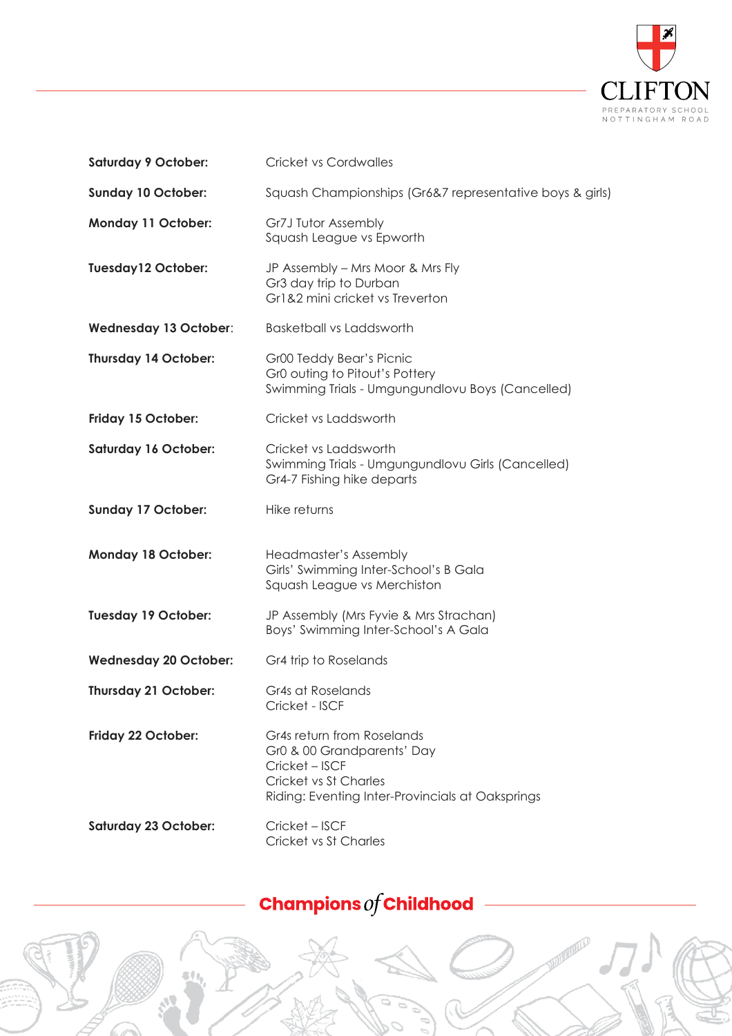

| <b>Saturday 9 October:</b>   | <b>Cricket vs Cordwalles</b>                                                                                                                            |
|------------------------------|---------------------------------------------------------------------------------------------------------------------------------------------------------|
| <b>Sunday 10 October:</b>    | Squash Championships (Gr6&7 representative boys & girls)                                                                                                |
| <b>Monday 11 October:</b>    | Gr7J Tutor Assembly<br>Squash League vs Epworth                                                                                                         |
| <b>Tuesday12 October:</b>    | JP Assembly - Mrs Moor & Mrs Fly<br>Gr3 day trip to Durban<br>Gr1&2 mini cricket vs Treverton                                                           |
| Wednesday 13 October:        | <b>Basketball vs Laddsworth</b>                                                                                                                         |
| Thursday 14 October:         | Gr00 Teddy Bear's Picnic<br>Gr0 outing to Pitout's Pottery<br>Swimming Trials - Umgungundlovu Boys (Cancelled)                                          |
| Friday 15 October:           | Cricket vs Laddsworth                                                                                                                                   |
| <b>Saturday 16 October:</b>  | Cricket vs Laddsworth<br>Swimming Trials - Umgungundlovu Girls (Cancelled)<br>Gr4-7 Fishing hike departs                                                |
| <b>Sunday 17 October:</b>    | Hike returns                                                                                                                                            |
| <b>Monday 18 October:</b>    | Headmaster's Assembly<br>Girls' Swimming Inter-School's B Gala                                                                                          |
|                              | Squash League vs Merchiston                                                                                                                             |
| <b>Tuesday 19 October:</b>   | JP Assembly (Mrs Fyvie & Mrs Strachan)<br>Boys' Swimming Inter-School's A Gala                                                                          |
| <b>Wednesday 20 October:</b> | Gr4 trip to Roselands                                                                                                                                   |
| Thursday 21 October:         | Gr4s at Roselands<br>Cricket - ISCF                                                                                                                     |
| Friday 22 October:           | Gr4s return from Roselands<br>Gr0 & 00 Grandparents' Day<br>Cricket - ISCF<br>Cricket vs St Charles<br>Riding: Eventing Inter-Provincials at Oaksprings |

## Champions  $of$  Childhood